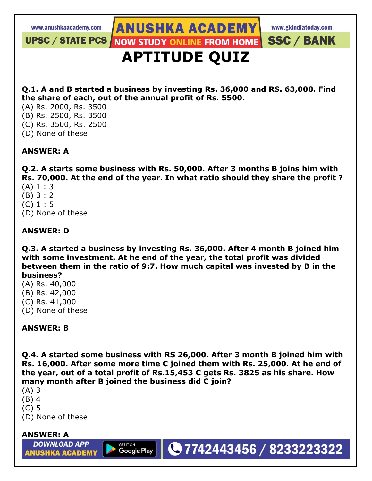**UPSC / STATE PCS** 

www.gkindiatoday.com

**SSC / BANK** 

# **APTITUDE QUIZ**

**ANUSHKA ACADEMY** 

**NOW STUDY ONLINE FROM HOME** 

**Q.1. A and B started a business by investing Rs. 36,000 and RS. 63,000. Find the share of each, out of the annual profit of Rs. 5500.**

(A) Rs. 2000, Rs. 3500 (B) Rs. 2500, Rs. 3500 (C) Rs. 3500, Rs. 2500

(D) None of these

#### **ANSWER: A**

**Q.2. A starts some business with Rs. 50,000. After 3 months B joins him with Rs. 70,000. At the end of the year. In what ratio should they share the profit ?**

- $(A) 1 : 3$
- (B) 3 : 2
- (C) 1 : 5
- (D) None of these

#### **ANSWER: D**

**Q.3. A started a business by investing Rs. 36,000. After 4 month B joined him with some investment. At he end of the year, the total profit was divided between them in the ratio of 9:7. How much capital was invested by B in the business?**

- (A) Rs. 40,000
- (B) Rs. 42,000
- (C) Rs. 41,000
- (D) None of these

#### **ANSWER: B**

**Q.4. A started some business with RS 26,000. After 3 month B joined him with Rs. 16,000. After some more time C joined them with Rs. 25,000. At he end of the year, out of a total profit of Rs.15,453 C gets Rs. 3825 as his share. How many month after B joined the business did C join?**

**Google Play** 

●7742443456 / 8233223322

- (A) 3
- (B) 4
- (C) 5
- (D) None of these

#### **ANSWER: A**

**DOWNLOAD APP ANUSHKA ACADEMY**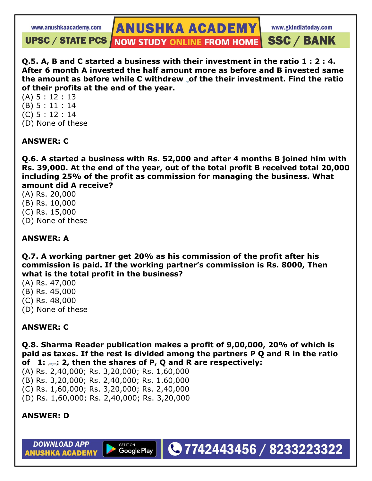www.gkindiatoday.com

**UPSC / STATE PCS / NOW STUDY ONLINE FROM HOME SSC / BANK** 

**Q.5. A, B and C started a business with their investment in the ratio 1 : 2 : 4. After 6 month A invested the half amount more as before and B invested same the amount as before while C withdrew of the their investment. Find the ratio of their profits at the end of the year.**

**ANUSHKA ACADEMY** 

(A) 5 : 12 : 13 (B) 5 : 11 : 14 (C) 5 : 12 : 14 (D) None of these

#### **ANSWER: C**

**Q.6. A started a business with Rs. 52,000 and after 4 months B joined him with Rs. 39,000. At the end of the year, out of the total profit B received total 20,000 including 25% of the profit as commission for managing the business. What amount did A receive?**

(A) Rs. 20,000 (B) Rs. 10,000 (C) Rs. 15,000 (D) None of these

#### **ANSWER: A**

**Q.7. A working partner get 20% as his commission of the profit after his commission is paid. If the working partner's commission is Rs. 8000, Then what is the total profit in the business?**

- (A) Rs. 47,000
- (B) Rs. 45,000
- (C) Rs. 48,000
- (D) None of these

#### **ANSWER: C**

**Q.8. Sharma Reader publication makes a profit of 9,00,000, 20% of which is paid as taxes. If the rest is divided among the partners P Q and R in the ratio of 1: : 2, then the shares of P, Q and R are respectively:**

●7742443456 / 8233223322

(A) Rs. 2,40,000; Rs. 3,20,000; Rs. 1,60,000

- (B) Rs. 3,20,000; Rs. 2,40,000; Rs. 1.60,000
- (C) Rs. 1,60,000; Rs. 3,20,000; Rs. 2,40,000
- (D) Rs. 1,60,000; Rs. 2,40,000; Rs. 3,20,000

**Google Play** 

#### **ANSWER: D**

**DOWNLOAD APP ANUSHKA ACADEMY**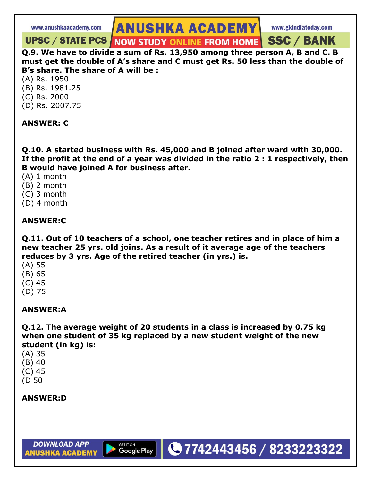**ANUSHKA ACADEMY** 

#### **NOW STUDY ONLINE FROM HOME SSC / BANK UPSC / STATE PCS /**

**Q.9. We have to divide a sum of Rs. 13,950 among three person A, B and C. B must get the double of A's share and C must get Rs. 50 less than the double of B's share. The share of A will be :**

(A) Rs. 1950 (B) Rs. 1981.25 (C) Rs. 2000 (D) Rs. 2007.75

#### **ANSWER: C**

**Q.10. A started business with Rs. 45,000 and B joined after ward with 30,000. If the profit at the end of a year was divided in the ratio 2 : 1 respectively, then B would have joined A for business after.**

(A) 1 month

- (B) 2 month
- (C) 3 month
- (D) 4 month

#### **ANSWER:C**

**Q.11. Out of 10 teachers of a school, one teacher retires and in place of him a new teacher 25 yrs. old joins. As a result of it average age of the teachers reduces by 3 yrs. Age of the retired teacher (in yrs.) is.**

- (A) 55
- (B) 65
- (C) 45
- (D) 75

#### **ANSWER:A**

**Q.12. The average weight of 20 students in a class is increased by 0.75 kg when one student of 35 kg replaced by a new student weight of the new student (in kg) is:**

●7742443456 / 8233223322

(A) 35 (B) 40 (C) 45 (D 50

**ANSWER:D**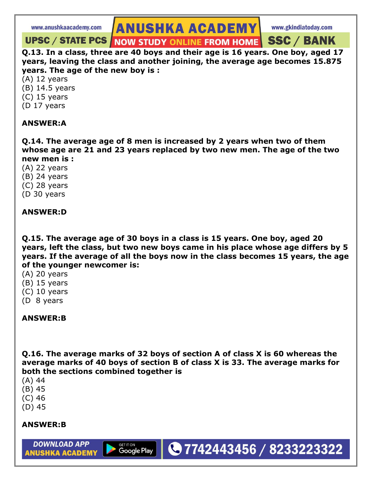**ANUSHKA ACADEMY** 

**UPSC / STATE PCS | NOW STUDY ONLINE FROM HOME SSC / BANK** 

**Q.13. In a class, three are 40 boys and their age is 16 years. One boy, aged 17 years, leaving the class and another joining, the average age becomes 15.875 years. The age of the new boy is :**

(A) 12 years

- (B) 14.5 years
- (C) 15 years
- (D 17 years

#### **ANSWER:A**

**Q.14. The average age of 8 men is increased by 2 years when two of them whose age are 21 and 23 years replaced by two new men. The age of the two new men is :**

- (A) 22 years
- (B) 24 years (C) 28 years
- (D 30 years

## **ANSWER:D**

**Q.15. The average age of 30 boys in a class is 15 years. One boy, aged 20 years, left the class, but two new boys came in his place whose age differs by 5 years. If the average of all the boys now in the class becomes 15 years, the age of the younger newcomer is:**

- (A) 20 years
- (B) 15 years
- (C) 10 years
- (D 8 years

### **ANSWER:B**

**Q.16. The average marks of 32 boys of section A of class X is 60 whereas the average marks of 40 boys of section B of class X is 33. The average marks for both the sections combined together is**

**Google Play** 

●7742443456 / 8233223322

- (A) 44
- (B) 45
- (C) 46
- (D) 45

#### **ANSWER:B**

**DOWNLOAD APP** 

**ANUSHKA ACADEMY**